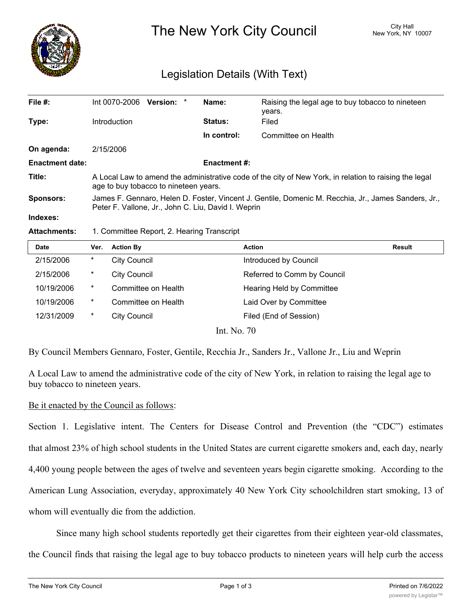

The New York City Council New York, NY 10007

# Legislation Details (With Text)

| File #:                  | Int 0070-2006                                                                                                                                              | Version: * |  | Name:               | Raising the legal age to buy tobacco to nineteen<br>years. |  |
|--------------------------|------------------------------------------------------------------------------------------------------------------------------------------------------------|------------|--|---------------------|------------------------------------------------------------|--|
| Type:                    | <b>Introduction</b>                                                                                                                                        |            |  | <b>Status:</b>      | Filed                                                      |  |
|                          |                                                                                                                                                            |            |  | In control:         | Committee on Health                                        |  |
| On agenda:               | 2/15/2006                                                                                                                                                  |            |  |                     |                                                            |  |
| <b>Enactment date:</b>   |                                                                                                                                                            |            |  | <b>Enactment #:</b> |                                                            |  |
| Title:                   | A Local Law to amend the administrative code of the city of New York, in relation to raising the legal<br>age to buy tobacco to nineteen years.            |            |  |                     |                                                            |  |
| <b>Sponsors:</b>         | James F. Gennaro, Helen D. Foster, Vincent J. Gentile, Domenic M. Recchia, Jr., James Sanders, Jr.,<br>Peter F. Vallone, Jr., John C. Liu, David I. Weprin |            |  |                     |                                                            |  |
| Indexes:                 |                                                                                                                                                            |            |  |                     |                                                            |  |
| A 44 a a la casa casta c | 4. Osmanii 11 - Den ent Olleenin a Tacaccaint                                                                                                              |            |  |                     |                                                            |  |

### **Attachments:** 1. Committee Report, 2. Hearing Transcript

| Ver.   | <b>Action By</b>    | <b>Action</b>               | Result |
|--------|---------------------|-----------------------------|--------|
| $\ast$ | <b>City Council</b> | Introduced by Council       |        |
| $\ast$ | <b>City Council</b> | Referred to Comm by Council |        |
| $\ast$ | Committee on Health | Hearing Held by Committee   |        |
| $\ast$ | Committee on Health | Laid Over by Committee      |        |
| $\ast$ | <b>City Council</b> | Filed (End of Session)      |        |
|        |                     |                             |        |

Int. No. 70

By Council Members Gennaro, Foster, Gentile, Recchia Jr., Sanders Jr., Vallone Jr., Liu and Weprin

A Local Law to amend the administrative code of the city of New York, in relation to raising the legal age to buy tobacco to nineteen years.

## Be it enacted by the Council as follows:

Section 1. Legislative intent. The Centers for Disease Control and Prevention (the "CDC") estimates that almost 23% of high school students in the United States are current cigarette smokers and, each day, nearly 4,400 young people between the ages of twelve and seventeen years begin cigarette smoking. According to the American Lung Association, everyday, approximately 40 New York City schoolchildren start smoking, 13 of whom will eventually die from the addiction.

Since many high school students reportedly get their cigarettes from their eighteen year-old classmates, the Council finds that raising the legal age to buy tobacco products to nineteen years will help curb the access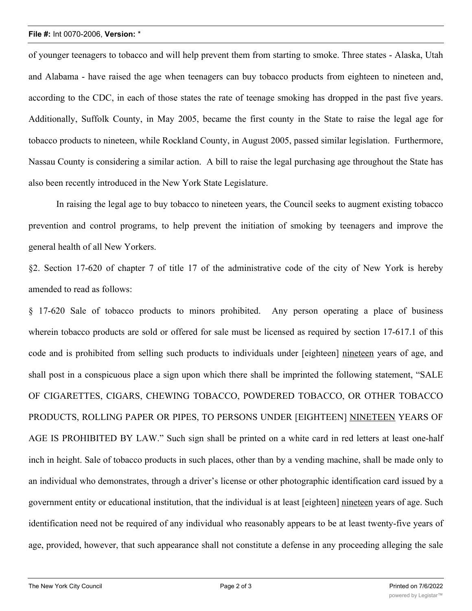### **File #:** Int 0070-2006, **Version:** \*

of younger teenagers to tobacco and will help prevent them from starting to smoke. Three states - Alaska, Utah and Alabama - have raised the age when teenagers can buy tobacco products from eighteen to nineteen and, according to the CDC, in each of those states the rate of teenage smoking has dropped in the past five years. Additionally, Suffolk County, in May 2005, became the first county in the State to raise the legal age for tobacco products to nineteen, while Rockland County, in August 2005, passed similar legislation. Furthermore, Nassau County is considering a similar action. A bill to raise the legal purchasing age throughout the State has also been recently introduced in the New York State Legislature.

In raising the legal age to buy tobacco to nineteen years, the Council seeks to augment existing tobacco prevention and control programs, to help prevent the initiation of smoking by teenagers and improve the general health of all New Yorkers.

§2. Section 17-620 of chapter 7 of title 17 of the administrative code of the city of New York is hereby amended to read as follows:

§ 17-620 Sale of tobacco products to minors prohibited. Any person operating a place of business wherein tobacco products are sold or offered for sale must be licensed as required by section 17-617.1 of this code and is prohibited from selling such products to individuals under [eighteen] nineteen years of age, and shall post in a conspicuous place a sign upon which there shall be imprinted the following statement, "SALE OF CIGARETTES, CIGARS, CHEWING TOBACCO, POWDERED TOBACCO, OR OTHER TOBACCO PRODUCTS, ROLLING PAPER OR PIPES, TO PERSONS UNDER [EIGHTEEN] NINETEEN YEARS OF AGE IS PROHIBITED BY LAW." Such sign shall be printed on a white card in red letters at least one-half inch in height. Sale of tobacco products in such places, other than by a vending machine, shall be made only to an individual who demonstrates, through a driver's license or other photographic identification card issued by a government entity or educational institution, that the individual is at least [eighteen] nineteen years of age. Such identification need not be required of any individual who reasonably appears to be at least twenty-five years of age, provided, however, that such appearance shall not constitute a defense in any proceeding alleging the sale